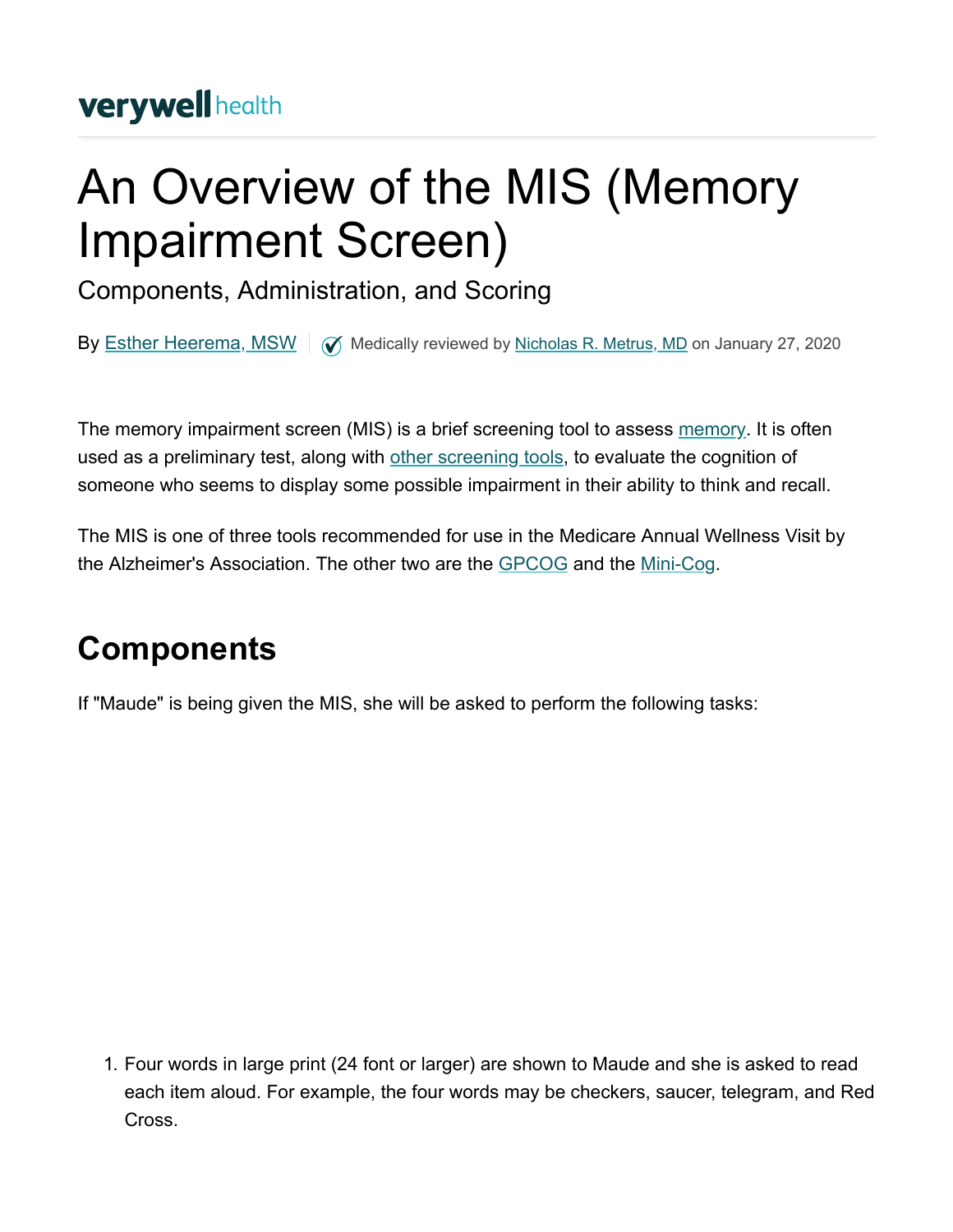# An Overview of the MIS (Memory Impairment Screen)

Components, Administration, and Scoring

By **[Esther Heerema, MSW](https://www.verywellhealth.com/esther-heerema-msw-alzheimers-and-dementia-expert-97406)**  $\sqrt{ }$  Medically reviewed by [Nicholas R. Metrus, MD](https://www.verywellhealth.com/nicholas-metrus-4776662) on January 27, 2020

The memory impairment screen (MIS) is a brief screening tool to assess [memory.](https://www.verywellhealth.com/types-of-memory-explained-98552) It is often used as a preliminary test, along with [other screening tools](https://www.verywellhealth.com/alzheimers-tests-98647), to evaluate the cognition of someone who seems to display some possible impairment in their ability to think and recall.

The MIS is one of three tools recommended for use in the Medicare Annual Wellness Visit by the Alzheimer's Association. The other two are the [GPCOG](https://www.verywellhealth.com/what-is-the-gpcog-the-general-practitioner-assessment-of-cognition-98641) and the [Mini-Cog.](https://www.verywellhealth.com/mini-cog-as-an-alzheimers-screening-test-98622)

### **Components**

If "Maude" is being given the MIS, she will be asked to perform the following tasks:

1. Four words in large print (24 font or larger) are shown to Maude and she is asked to read each item aloud. For example, the four words may be checkers, saucer, telegram, and Red Cross.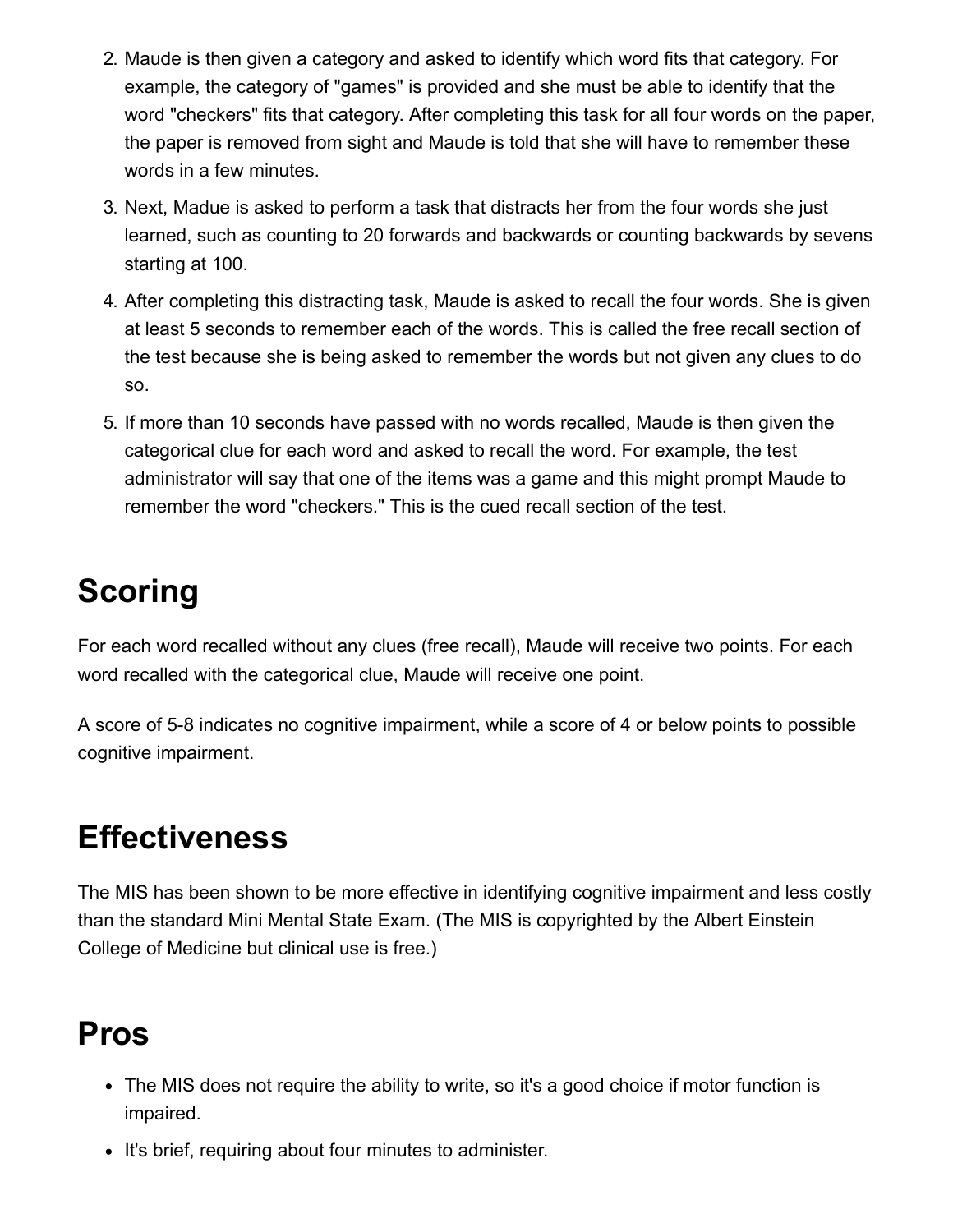- 2. Maude is then given a category and asked to identify which word fits that category. For example, the category of "games" is provided and she must be able to identify that the word "checkers" fits that category. After completing this task for all four words on the paper, the paper is removed from sight and Maude is told that she will have to remember these words in a few minutes.
- 3. Next, Madue is asked to perform a task that distracts her from the four words she just learned, such as counting to 20 forwards and backwards or counting backwards by sevens starting at 100.
- 4. After completing this distracting task, Maude is asked to recall the four words. She is given at least 5 seconds to remember each of the words. This is called the free recall section of the test because she is being asked to remember the words but not given any clues to do so.
- 5. If more than 10 seconds have passed with no words recalled, Maude is then given the categorical clue for each word and asked to recall the word. For example, the test administrator will say that one of the items was a game and this might prompt Maude to remember the word "checkers." This is the cued recall section of the test.

## **Scoring**

For each word recalled without any clues (free recall), Maude will receive two points. For each word recalled with the categorical clue, Maude will receive one point.

A score of 5-8 indicates no cognitive impairment, while a score of 4 or below points to possible cognitive impairment.

#### **Effectiveness**

The MIS has been shown to be more effective in identifying cognitive impairment and less costly than the standard Mini Mental State Exam. (The MIS is copyrighted by the Albert Einstein College of Medicine but clinical use is free.)

#### **Pros**

- The MIS does not require the ability to write, so it's a good choice if motor function is impaired.
- It's brief, requiring about four minutes to administer.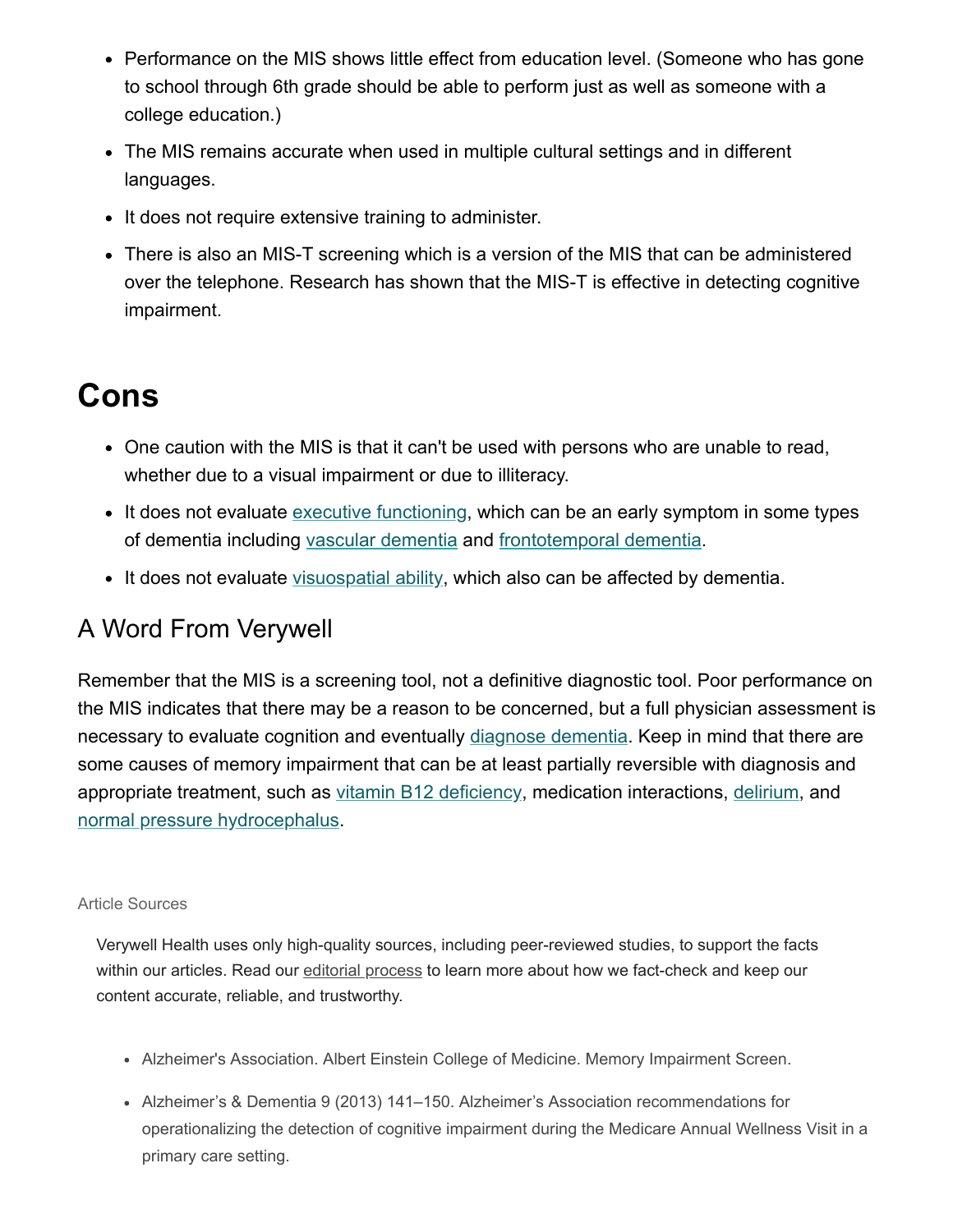- Performance on the MIS shows little effect from education level. (Someone who has gone to school through 6th grade should be able to perform just as well as someone with a college education.)
- The MIS remains accurate when used in multiple cultural settings and in different languages.
- It does not require extensive training to administer.
- There is also an MIS-T screening which is a version of the MIS that can be administered over the telephone. Research has shown that the MIS-T is effective in detecting cognitive impairment.

#### **Cons**

- One caution with the MIS is that it can't be used with persons who are unable to read, whether due to a visual impairment or due to illiteracy.
- It does not evaluate [executive functioning,](https://www.verywellhealth.com/executive-functioning-alzheimers-98596) which can be an early symptom in some types of dementia including [vascular dementia](https://www.verywellhealth.com/the-differences-between-alzheimers-vascular-dementia-98750) and [frontotemporal dementia.](https://www.verywellhealth.com/what-is-frontotemporal-dementia-98747)
- It does not evaluate [visuospatial ability,](https://www.verywellhealth.com/how-does-dementia-affect-visual-spatial-abilities-98586) which also can be affected by dementia.

#### A Word From Verywell

Remember that the MIS is a screening tool, not a definitive diagnostic tool. Poor performance on the MIS indicates that there may be a reason to be concerned, but a full physician assessment is necessary to evaluate cognition and eventually [diagnose dementia](https://www.verywellhealth.com/how-is-dementia-diagnosed-4121157). Keep in mind that there are some causes of memory impairment that can be at least partially reversible with diagnosis and appropriate treatment, such as [vitamin B12 deficiency,](https://www.verywellhealth.com/is-it-alzheimers-disease-or-vitamin-b12-deficiency-98738) medication interactions, [delirium,](https://www.verywellhealth.com/whats-the-difference-between-delirium-and-dementia-98838) and [normal pressure hydrocephalus](https://www.verywellhealth.com/normal-pressure-hydrocephalus-nph-98740).

#### Article Sources

Verywell Health uses only high-quality sources, including peer-reviewed studies, to support the facts within our articles. Read our [editorial process](https://www.verywellhealth.com/verywell-editorial-process-4777042) to learn more about how we fact-check and keep our content accurate, reliable, and trustworthy.

- Alzheimer's Association. Albert Einstein College of Medicine. Memory Impairment Screen.
- Alzheimer's & Dementia 9 (2013) 141–150. Alzheimer's Association recommendations for operationalizing the detection of cognitive impairment during the Medicare Annual Wellness Visit in a primary care setting.